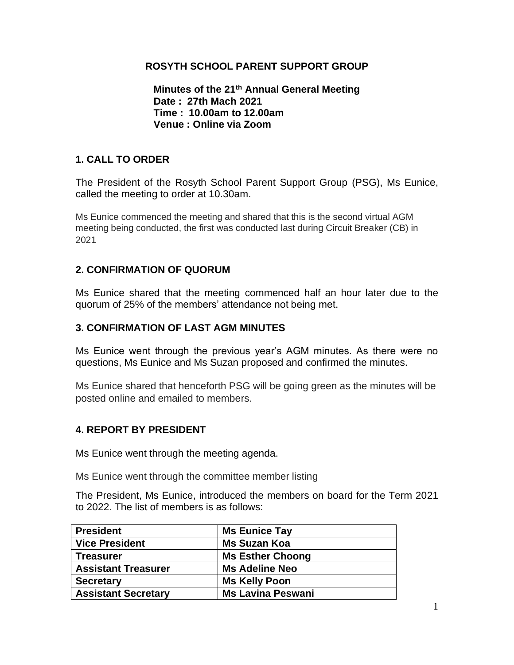## **ROSYTH SCHOOL PARENT SUPPORT GROUP**

**Minutes of the 21 th Annual General Meeting Date : 27th Mach 2021 Time : 10.00am to 12.00am Venue : Online via Zoom**

## **1. CALL TO ORDER**

The President of the Rosyth School Parent Support Group (PSG), Ms Eunice, called the meeting to order at 10.30am.

Ms Eunice commenced the meeting and shared that this is the second virtual AGM meeting being conducted, the first was conducted last during Circuit Breaker (CB) in 2021

## **2. CONFIRMATION OF QUORUM**

Ms Eunice shared that the meeting commenced half an hour later due to the quorum of 25% of the members' attendance not being met.

#### **3. CONFIRMATION OF LAST AGM MINUTES**

Ms Eunice went through the previous year's AGM minutes. As there were no questions, Ms Eunice and Ms Suzan proposed and confirmed the minutes.

Ms Eunice shared that henceforth PSG will be going green as the minutes will be posted online and emailed to members.

#### **4. REPORT BY PRESIDENT**

Ms Eunice went through the meeting agenda.

Ms Eunice went through the committee member listing

The President, Ms Eunice, introduced the members on board for the Term 2021 to 2022. The list of members is as follows:

| <b>President</b>           | <b>Ms Eunice Tay</b>     |
|----------------------------|--------------------------|
| <b>Vice President</b>      | <b>Ms Suzan Koa</b>      |
| <b>Treasurer</b>           | <b>Ms Esther Choong</b>  |
| <b>Assistant Treasurer</b> | <b>Ms Adeline Neo</b>    |
| <b>Secretary</b>           | <b>Ms Kelly Poon</b>     |
| <b>Assistant Secretary</b> | <b>Ms Lavina Peswani</b> |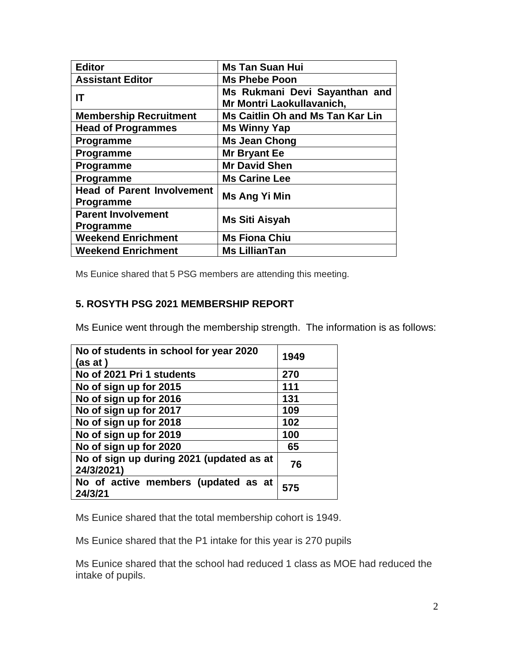| <b>Editor</b>                                         | <b>Ms Tan Suan Hui</b>                                     |
|-------------------------------------------------------|------------------------------------------------------------|
| <b>Assistant Editor</b>                               | <b>Ms Phebe Poon</b>                                       |
| ΙT                                                    | Ms Rukmani Devi Sayanthan and<br>Mr Montri Laokullavanich, |
| <b>Membership Recruitment</b>                         | Ms Caitlin Oh and Ms Tan Kar Lin                           |
| <b>Head of Programmes</b>                             | <b>Ms Winny Yap</b>                                        |
| Programme                                             | <b>Ms Jean Chong</b>                                       |
| <b>Programme</b>                                      | Mr Bryant Ee                                               |
| Programme                                             | <b>Mr David Shen</b>                                       |
| Programme                                             | <b>Ms Carine Lee</b>                                       |
| <b>Head of Parent Involvement</b><br><b>Programme</b> | Ms Ang Yi Min                                              |
| <b>Parent Involvement</b><br>Programme                | Ms Siti Aisyah                                             |
| <b>Weekend Enrichment</b>                             | <b>Ms Fiona Chiu</b>                                       |
| <b>Weekend Enrichment</b>                             | <b>Ms LillianTan</b>                                       |

Ms Eunice shared that 5 PSG members are attending this meeting.

## **5. ROSYTH PSG 2021 MEMBERSHIP REPORT**

Ms Eunice went through the membership strength. The information is as follows:

| No of students in school for year 2020<br>(as at)      | 1949 |
|--------------------------------------------------------|------|
| No of 2021 Pri 1 students                              | 270  |
| No of sign up for 2015                                 | 111  |
| No of sign up for 2016                                 | 131  |
| No of sign up for 2017                                 | 109  |
| No of sign up for 2018                                 | 102  |
| No of sign up for 2019                                 | 100  |
| No of sign up for 2020                                 | 65   |
| No of sign up during 2021 (updated as at<br>24/3/2021) | 76   |
| No of active members (updated as at<br>24/3/21         | 575  |

Ms Eunice shared that the total membership cohort is 1949.

Ms Eunice shared that the P1 intake for this year is 270 pupils

Ms Eunice shared that the school had reduced 1 class as MOE had reduced the intake of pupils.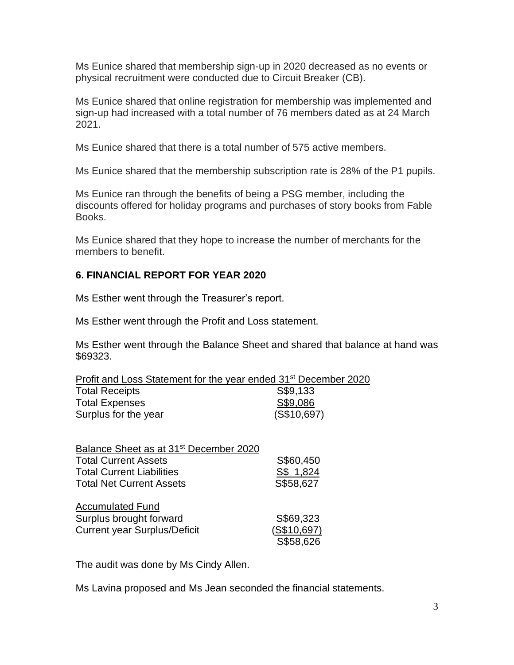Ms Eunice shared that membership sign-up in 2020 decreased as no events or physical recruitment were conducted due to Circuit Breaker (CB).

Ms Eunice shared that online registration for membership was implemented and sign-up had increased with a total number of 76 members dated as at 24 March 2021.

Ms Eunice shared that there is a total number of 575 active members.

Ms Eunice shared that the membership subscription rate is 28% of the P1 pupils.

Ms Eunice ran through the benefits of being a PSG member, including the discounts offered for holiday programs and purchases of story books from Fable Books.

Ms Eunice shared that they hope to increase the number of merchants for the members to benefit.

## **6. FINANCIAL REPORT FOR YEAR 2020**

Ms Esther went through the Treasurer's report.

Ms Esther went through the Profit and Loss statement.

Ms Esther went through the Balance Sheet and shared that balance at hand was \$69323.

| Profit and Loss Statement for the year ended 31 <sup>st</sup> December 2020 |             |
|-----------------------------------------------------------------------------|-------------|
| <b>Total Receipts</b>                                                       | S\$9,133    |
| <b>Total Expenses</b>                                                       | S\$9,086    |
| Surplus for the year                                                        | (S\$10,697) |

| Balance Sheet as at 31 <sup>st</sup> December 2020 |             |
|----------------------------------------------------|-------------|
| <b>Total Current Assets</b>                        | S\$60,450   |
| <b>Total Current Liabilities</b>                   | S\$ 1,824   |
| <b>Total Net Current Assets</b>                    | S\$58,627   |
| <b>Accumulated Fund</b>                            |             |
| Surplus brought forward                            | S\$69,323   |
| <b>Current year Surplus/Deficit</b>                | (S\$10,697) |
|                                                    | S\$58,626   |

The audit was done by Ms Cindy Allen.

Ms Lavina proposed and Ms Jean seconded the financial statements.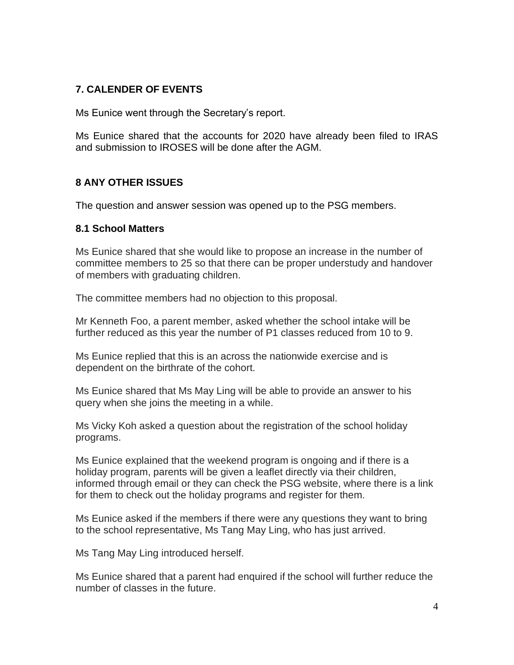# **7. CALENDER OF EVENTS**

Ms Eunice went through the Secretary's report.

Ms Eunice shared that the accounts for 2020 have already been filed to IRAS and submission to IROSES will be done after the AGM.

## **8 ANY OTHER ISSUES**

The question and answer session was opened up to the PSG members.

#### **8.1 School Matters**

Ms Eunice shared that she would like to propose an increase in the number of committee members to 25 so that there can be proper understudy and handover of members with graduating children.

The committee members had no objection to this proposal.

Mr Kenneth Foo, a parent member, asked whether the school intake will be further reduced as this year the number of P1 classes reduced from 10 to 9.

Ms Eunice replied that this is an across the nationwide exercise and is dependent on the birthrate of the cohort.

Ms Eunice shared that Ms May Ling will be able to provide an answer to his query when she joins the meeting in a while.

Ms Vicky Koh asked a question about the registration of the school holiday programs.

Ms Eunice explained that the weekend program is ongoing and if there is a holiday program, parents will be given a leaflet directly via their children, informed through email or they can check the PSG website, where there is a link for them to check out the holiday programs and register for them.

Ms Eunice asked if the members if there were any questions they want to bring to the school representative, Ms Tang May Ling, who has just arrived.

Ms Tang May Ling introduced herself.

Ms Eunice shared that a parent had enquired if the school will further reduce the number of classes in the future.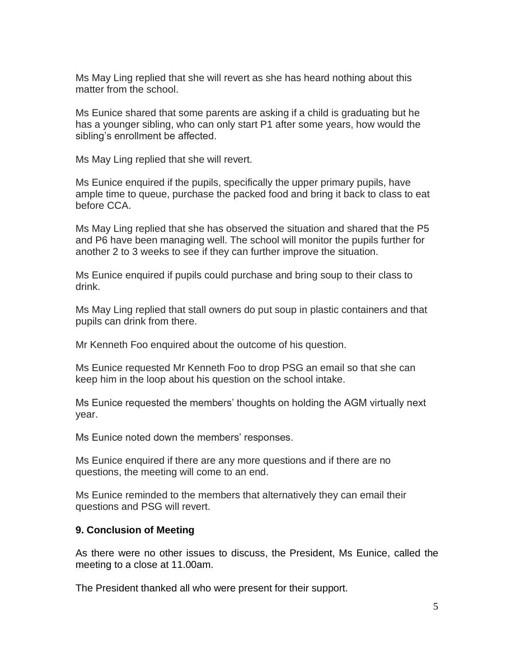Ms May Ling replied that she will revert as she has heard nothing about this matter from the school.

Ms Eunice shared that some parents are asking if a child is graduating but he has a younger sibling, who can only start P1 after some years, how would the sibling's enrollment be affected.

Ms May Ling replied that she will revert.

Ms Eunice enquired if the pupils, specifically the upper primary pupils, have ample time to queue, purchase the packed food and bring it back to class to eat before CCA.

Ms May Ling replied that she has observed the situation and shared that the P5 and P6 have been managing well. The school will monitor the pupils further for another 2 to 3 weeks to see if they can further improve the situation.

Ms Eunice enquired if pupils could purchase and bring soup to their class to drink.

Ms May Ling replied that stall owners do put soup in plastic containers and that pupils can drink from there.

Mr Kenneth Foo enquired about the outcome of his question.

Ms Eunice requested Mr Kenneth Foo to drop PSG an email so that she can keep him in the loop about his question on the school intake.

Ms Eunice requested the members' thoughts on holding the AGM virtually next year.

Ms Eunice noted down the members' responses.

Ms Eunice enquired if there are any more questions and if there are no questions, the meeting will come to an end.

Ms Eunice reminded to the members that alternatively they can email their questions and PSG will revert.

#### **9. Conclusion of Meeting**

As there were no other issues to discuss, the President, Ms Eunice, called the meeting to a close at 11.00am.

The President thanked all who were present for their support.